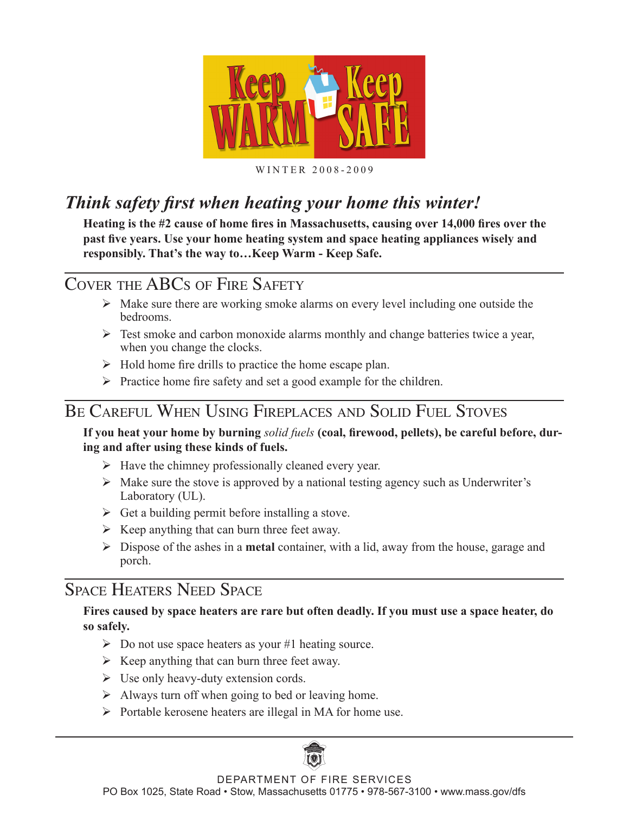

#### WINTER 2008-2009

## *Think safety first when heating your home this winter!*

**Heating is the #2 cause of home fires in Massachusetts, causing over 14,000 fires over the past five years. Use your home heating system and space heating appliances wisely and responsibly. That's the way to…Keep Warm - Keep Safe.** 

## COVER THE ABCS OF FIRE SAFETY

- $\triangleright$  Make sure there are working smoke alarms on every level including one outside the bedrooms.
- $\triangleright$  Test smoke and carbon monoxide alarms monthly and change batteries twice a year, when you change the clocks.
- $\triangleright$  Hold home fire drills to practice the home escape plan.
- $\triangleright$  Practice home fire safety and set a good example for the children.

## BE CAREFUL WHEN USING FIREPLACES AND SOLID FUEL STOVES

#### **If you heat your home by burning** *solid fuels* **(coal, firewood, pellets), be careful before, during and after using these kinds of fuels.**

- $\triangleright$  Have the chimney professionally cleaned every year.
- $\triangleright$  Make sure the stove is approved by a national testing agency such as Underwriter's Laboratory (UL).
- $\triangleright$  Get a building permit before installing a stove.
- $\triangleright$  Keep anything that can burn three feet away.
- Dispose of the ashes in a **metal** container, with a lid, away from the house, garage and porch.

## SPACE HEATERS NEED SPACE

#### **Fires caused by space heaters are rare but often deadly. If you must use a space heater, do so safely.**

- $\triangleright$  Do not use space heaters as your #1 heating source.
- $\triangleright$  Keep anything that can burn three feet away.
- $\triangleright$  Use only heavy-duty extension cords.
- $\triangleright$  Always turn off when going to bed or leaving home.
- $\triangleright$  Portable kerosene heaters are illegal in MA for home use.